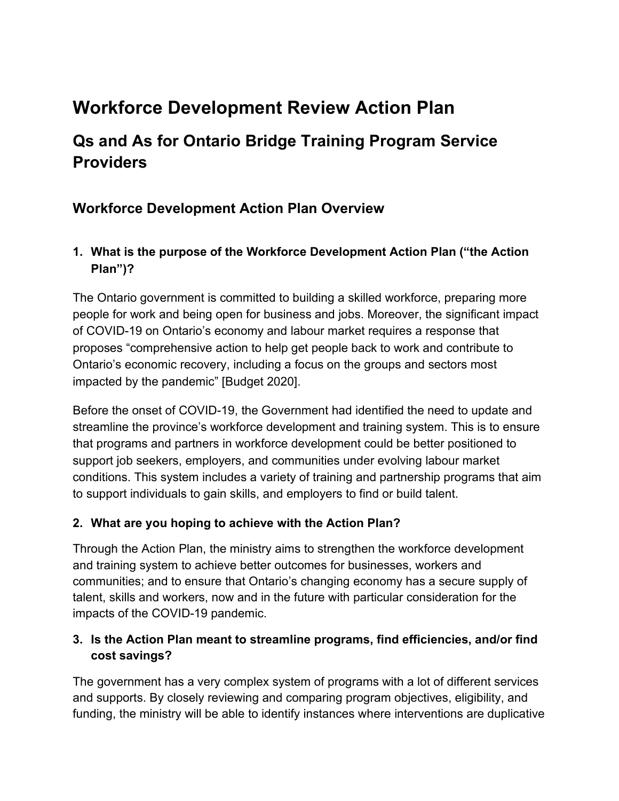# **Workforce Development Review Action Plan**

## **Qs and As for Ontario Bridge Training Program Service Providers**

## **Workforce Development Action Plan Overview**

## **1. What is the purpose of the Workforce Development Action Plan ("the Action Plan")?**

The Ontario government is committed to building a skilled workforce, preparing more people for work and being open for business and jobs. Moreover, the significant impact of COVID-19 on Ontario's economy and labour market requires a response that proposes "comprehensive action to help get people back to work and contribute to Ontario's economic recovery, including a focus on the groups and sectors most impacted by the pandemic" [Budget 2020].

Before the onset of COVID-19, the Government had identified the need to update and streamline the province's workforce development and training system. This is to ensure that programs and partners in workforce development could be better positioned to support job seekers, employers, and communities under evolving labour market conditions. This system includes a variety of training and partnership programs that aim to support individuals to gain skills, and employers to find or build talent.

#### **2. What are you hoping to achieve with the Action Plan?**

Through the Action Plan, the ministry aims to strengthen the workforce development and training system to achieve better outcomes for businesses, workers and communities; and to ensure that Ontario's changing economy has a secure supply of talent, skills and workers, now and in the future with particular consideration for the impacts of the COVID-19 pandemic.

#### **3. Is the Action Plan meant to streamline programs, find efficiencies, and/or find cost savings?**

The government has a very complex system of programs with a lot of different services and supports. By closely reviewing and comparing program objectives, eligibility, and funding, the ministry will be able to identify instances where interventions are duplicative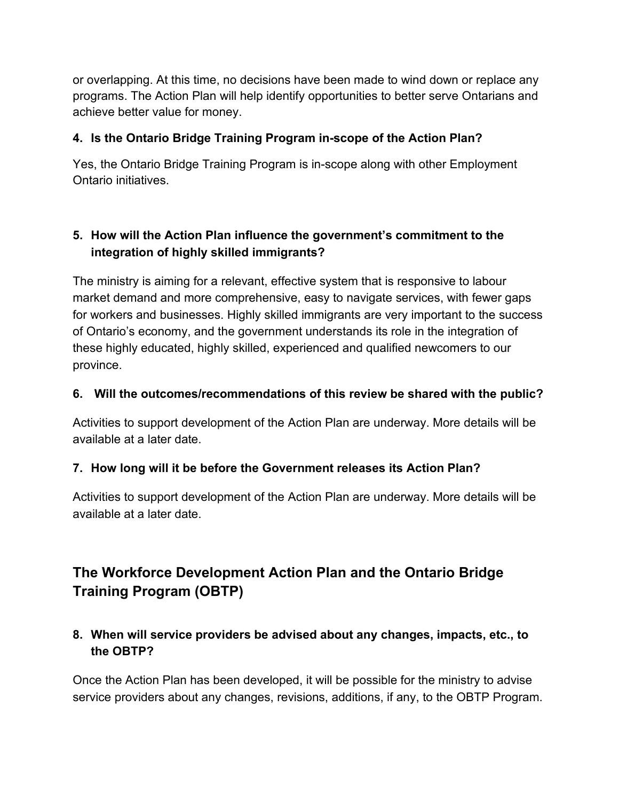or overlapping. At this time, no decisions have been made to wind down or replace any programs. The Action Plan will help identify opportunities to better serve Ontarians and achieve better value for money.

#### **4. Is the Ontario Bridge Training Program in-scope of the Action Plan?**

Yes, the Ontario Bridge Training Program is in-scope along with other Employment Ontario initiatives.

## **5. How will the Action Plan influence the government's commitment to the integration of highly skilled immigrants?**

The ministry is aiming for a relevant, effective system that is responsive to labour market demand and more comprehensive, easy to navigate services, with fewer gaps for workers and businesses. Highly skilled immigrants are very important to the success of Ontario's economy, and the government understands its role in the integration of these highly educated, highly skilled, experienced and qualified newcomers to our province.

#### **6. Will the outcomes/recommendations of this review be shared with the public?**

Activities to support development of the Action Plan are underway. More details will be available at a later date.

#### **7. How long will it be before the Government releases its Action Plan?**

Activities to support development of the Action Plan are underway. More details will be available at a later date.

## **The Workforce Development Action Plan and the Ontario Bridge Training Program (OBTP)**

#### **8. When will service providers be advised about any changes, impacts, etc., to the OBTP?**

Once the Action Plan has been developed, it will be possible for the ministry to advise service providers about any changes, revisions, additions, if any, to the OBTP Program.